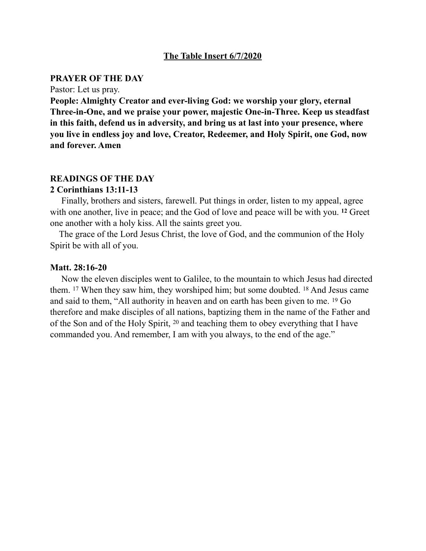### **The Table Insert 6/7/2020**

#### **PRAYER OF THE DAY**

Pastor: Let us pray.

**People: Almighty Creator and ever-living God: we worship your glory, eternal Three-in-One, and we praise your power, majestic One-in-Three. Keep us steadfast in this faith, defend us in adversity, and bring us at last into your presence, where you live in endless joy and love, Creator, Redeemer, and Holy Spirit, one God, now and forever. Amen** 

### **READINGS OF THE DAY**

### **2 Corinthians 13:11-13**

Finally, brothers and sisters, farewell. Put things in order, listen to my appeal, agree with one another, live in peace; and the God of love and peace will be with you. **12** Greet one another with a holy kiss. All the saints greet you.

 The grace of the Lord Jesus Christ, the love of God, and the communion of the Holy Spirit be with all of you.

#### **Matt. 28:16-20**

 Now the eleven disciples went to Galilee, to the mountain to which Jesus had directed them. 17 When they saw him, they worshiped him; but some doubted. 18 And Jesus came and said to them, "All authority in heaven and on earth has been given to me. 19 Go therefore and make disciples of all nations, baptizing them in the name of the Father and of the Son and of the Holy Spirit, 20 and teaching them to obey everything that I have commanded you. And remember, I am with you always, to the end of the age."